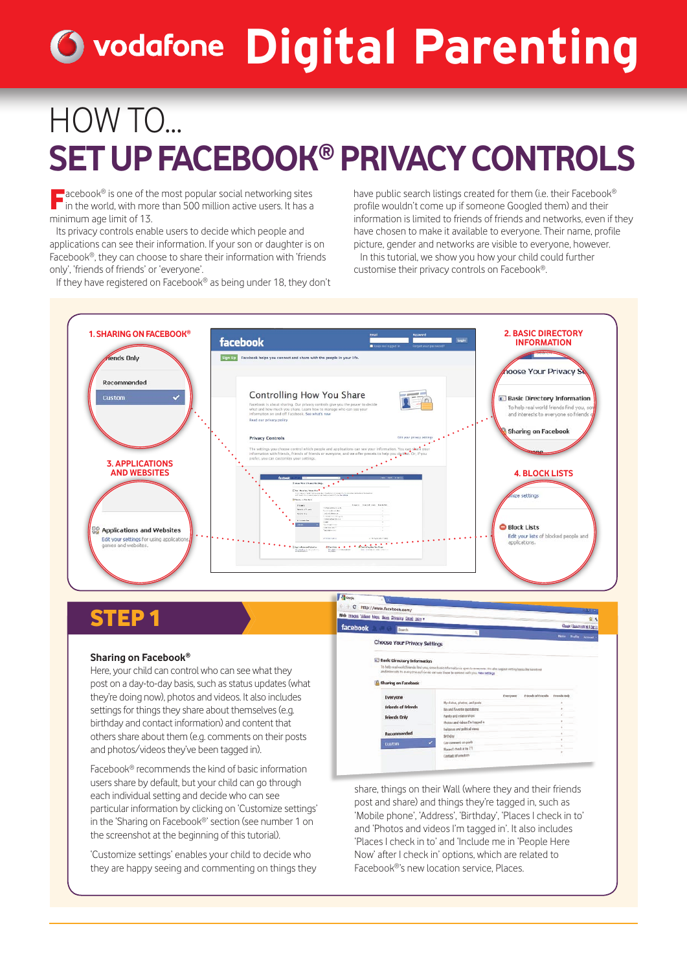# **Digital Parenting**

## HOW TO... **SET UP FACEBOOK® PRIVACY CONTROLS**

**Facebook®** is one of the most popular social networking sites in the world, with more than 500 million active users. It has a minimum age limit of 13.

Its privacy controls enable users to decide which people and applications can see their information. If your son or daughter is on Facebook®, they can choose to share their information with 'friends only', 'friends of friends' or 'everyone'.

If they have registered on Facebook® as being under 18, they don't

have public search listings created for them (i.e. their Facebook® profile wouldn't come up if someone Googled them) and their information is limited to friends of friends and networks, even if they have chosen to make it available to everyone. Their name, profile picture, gender and networks are visible to everyone, however. In this tutorial, we show you how your child could further

customise their privacy controls on Facebook®.



## **STEP**

#### **Sharing on Facebook®**

Here, your child can control who can see what they post on a day-to-day basis, such as status updates (what they're doing now), photos and videos. It also includes settings for things they share about themselves (e.g. birthday and contact information) and content that others share about them (e.g. comments on their posts and photos/videos they've been tagged in).

Facebook® recommends the kind of basic information users share by default, but your child can go through each individual setting and decide who can see particular information by clicking on 'Customize settings' in the 'Sharing on Facebook®' section (see number 1 on the screenshot at the beginning of this tutorial).

'Customize settings' enables your child to decide who they are happy seeing and commenting on things they

Videos Maga News Showers days facebook Choose Your Privacy Settings **ED** Basic Ofrectory Informatic **ID Sharing on Facebook** Everyone Felends of Fr Friends Only

share, things on their Wall (where they and their friends post and share) and things they're tagged in, such as 'Mobile phone', 'Address', 'Birthday', 'Places I check in to' and 'Photos and videos I'm tagged in'. It also includes 'Places I check in to' and 'Include me in 'People Here Now' after I check in' options, which are related to Facebook®'s new location service, Places.